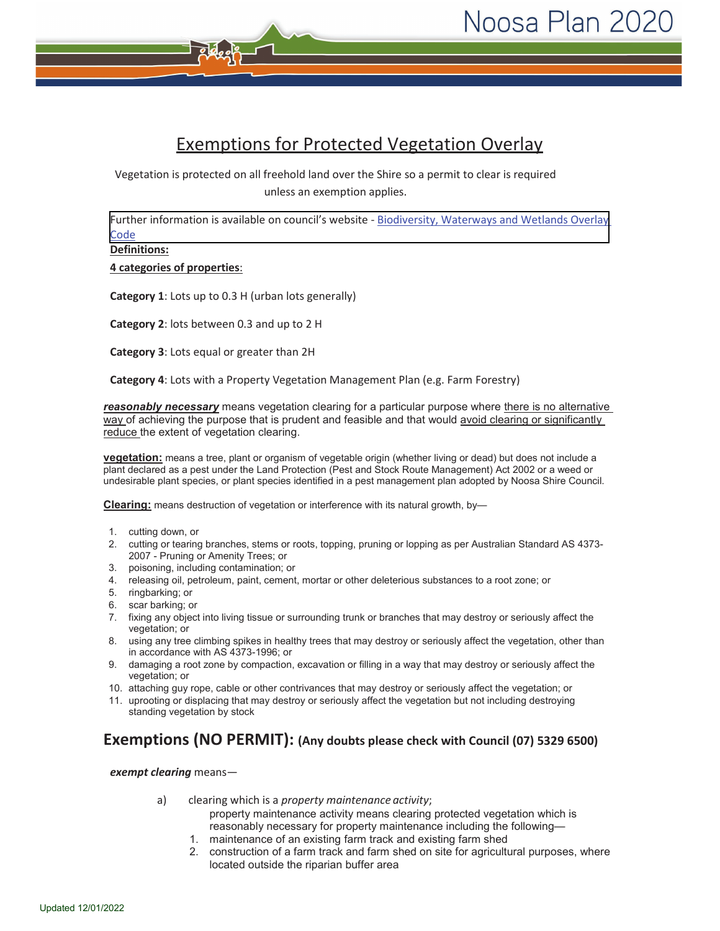# Exemptions for Protected Vegetation Overlay

Vegetation is protected on all freehold land over the Shire so a permit to clear is required unless an exemption applies.

[Further information is available on council's website -](https://noo-prod-icon.saas.t1cloud.com/Pages/Plan/Book.aspx?exhibit=Current) Biodiversity, Waterways and Wetlands Overlay **Code** 

**Definitions:**

**4 categories of properties**:

**Category 1**: Lots up to 0.3 H (urban lots generally)

**Category 2**: lots between 0.3 and up to 2 H

**Category 3**: Lots equal or greater than 2H

**Category 4**: Lots with a Property Vegetation Management Plan (e.g. Farm Forestry)

**reasonably necessary** means vegetation clearing for a particular purpose where there is no alternative way of achieving the purpose that is prudent and feasible and that would avoid clearing or significantly reduce the extent of vegetation clearing.

**vegetation:** means a tree, plant or organism of vegetable origin (whether living or dead) but does not include a plant declared as a pest under the Land Protection (Pest and Stock Route Management) Act 2002 or a weed or undesirable plant species, or plant species identified in a pest management plan adopted by Noosa Shire Council.

**Clearing:** means destruction of vegetation or interference with its natural growth, by—

- 1. cutting down, or
- 2. cutting or tearing branches, stems or roots, topping, pruning or lopping as per Australian Standard AS 4373- 2007 - Pruning or Amenity Trees; or
- 3. poisoning, including contamination; or
- 4. releasing oil, petroleum, paint, cement, mortar or other deleterious substances to a root zone; or
- 5. ringbarking; or
- 6. scar barking; or
- 7. fixing any object into living tissue or surrounding trunk or branches that may destroy or seriously affect the vegetation; or
- 8. using any tree climbing spikes in healthy trees that may destroy or seriously affect the vegetation, other than in accordance with AS 4373-1996; or
- 9. damaging a root zone by compaction, excavation or filling in a way that may destroy or seriously affect the vegetation; or
- 10. attaching guy rope, cable or other contrivances that may destroy or seriously affect the vegetation; or
- 11. uprooting or displacing that may destroy or seriously affect the vegetation but not including destroying standing vegetation by stock

## **Exemptions (NO PERMIT): (Any doubts please check with Council (07) 5329 6500)**

*exempt clearing* means—

- a) clearing which is a *property maintenance activity*; property maintenance activity means clearing protected vegetation which is reasonably necessary for property maintenance including the following—
	- 1. maintenance of an existing farm track and existing farm shed
	- 2. construction of a farm track and farm shed on site for agricultural purposes, where located outside the riparian buffer area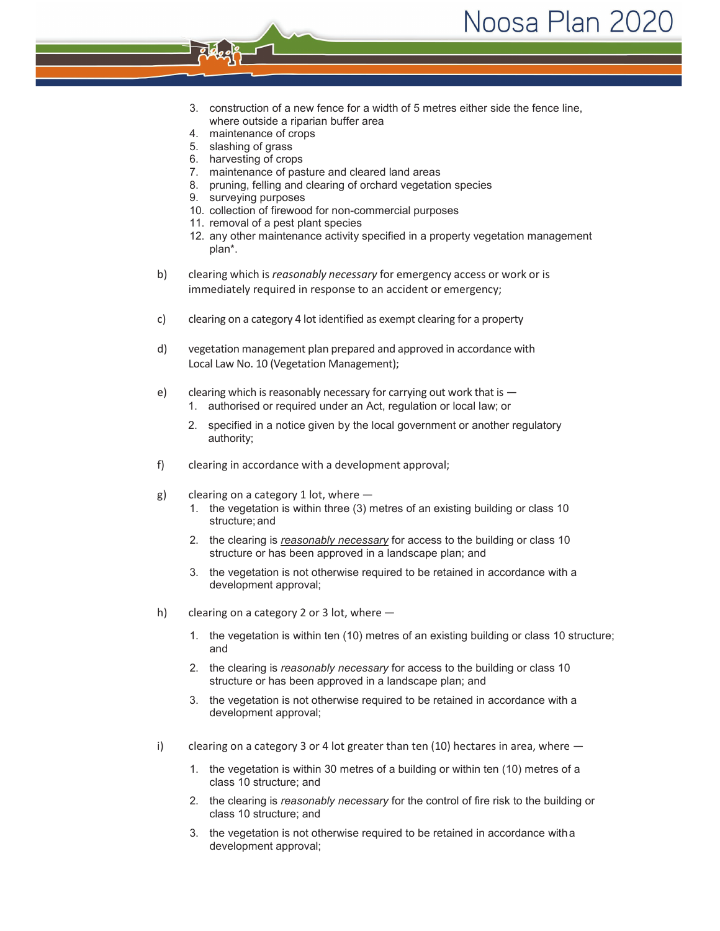- 3. construction of a new fence for a width of 5 metres either side the fence line, where outside a riparian buffer area
- 4. maintenance of crops
- 5. slashing of grass
- 6. harvesting of crops
- 7. maintenance of pasture and cleared land areas
- 8. pruning, felling and clearing of orchard vegetation species
- 9. surveying purposes
- 10. collection of firewood for non-commercial purposes
- 11. removal of a pest plant species
- 12. any other maintenance activity specified in a property vegetation management plan\*.
- b) clearing which is *reasonably necessary* for emergency access or work or is immediately required in response to an accident or emergency;
- c) clearing on a category 4 lot identified as exempt clearing for a property
- d) vegetation management plan prepared and approved in accordance with Local Law No. 10 (Vegetation Management);
- e) clearing which is reasonably necessary for carrying out work that is
	- 1. authorised or required under an Act, regulation or local law; or
	- 2. specified in a notice given by the local government or another regulatory authority;
- f) clearing in accordance with a development approval;
- g) clearing on a category 1 lot, where  $-$ 
	- 1. the vegetation is within three (3) metres of an existing building or class 10 structure; and
	- 2. the clearing is *reasonably necessary* for access to the building or class 10 structure or has been approved in a landscape plan; and
	- 3. the vegetation is not otherwise required to be retained in accordance with a development approval;
- h) clearing on a category 2 or 3 lot, where
	- 1. the vegetation is within ten (10) metres of an existing building or class 10 structure; and
	- 2. the clearing is *reasonably necessary* for access to the building or class 10 structure or has been approved in a landscape plan; and
	- 3. the vegetation is not otherwise required to be retained in accordance with a development approval;
- i) clearing on a category 3 or 4 lot greater than ten (10) hectares in area, where  $-$ 
	- 1. the vegetation is within 30 metres of a building or within ten (10) metres of a class 10 structure; and
	- 2. the clearing is *reasonably necessary* for the control of fire risk to the building or class 10 structure; and
	- 3. the vegetation is not otherwise required to be retained in accordance witha development approval;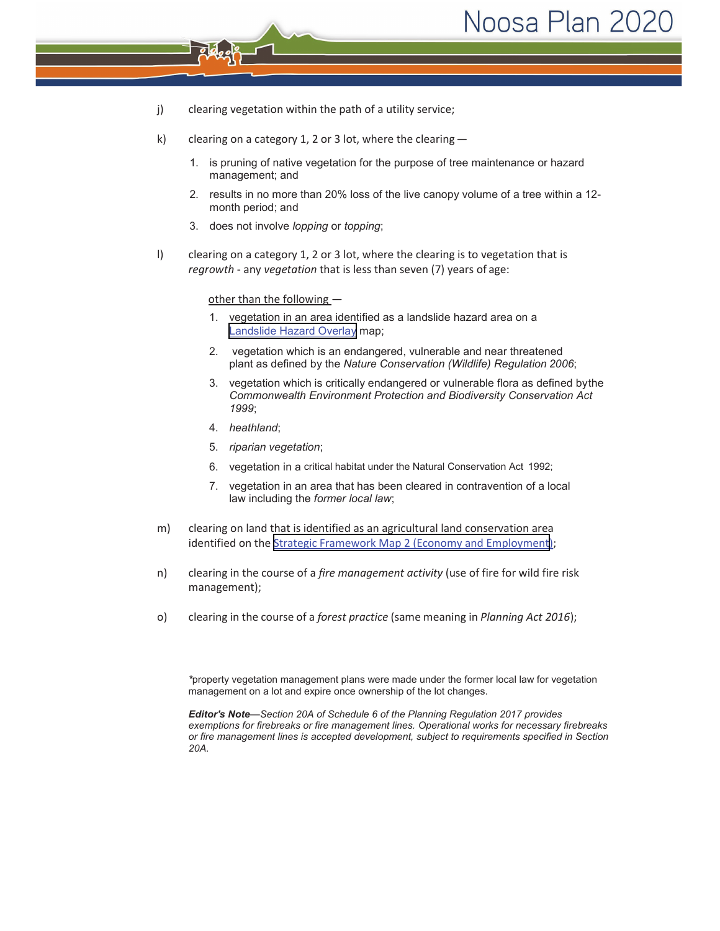- j) clearing vegetation within the path of a utility service;
- k) clearing on a category 1, 2 or 3 lot, where the clearing  $-$ 
	- 1. is pruning of native vegetation for the purpose of tree maintenance or hazard management; and
	- 2. results in no more than 20% loss of the live canopy volume of a tree within a 12 month period; and
	- 3. does not involve *lopping* or *topping*;
- l) clearing on a category 1, 2 or 3 lot, where the clearing is to vegetation that is *regrowth* - any *vegetation* that is less than seven (7) years of age:

other than the following -

- 1. vegetation in an area identified as a landslide hazard area on a [Landslide Hazard Overlay](https://noo-prod-icon.saas.t1cloud.com/Pages/Plan/Book.aspx?exhibit=Current) map;
- 2. vegetation which is an endangered, vulnerable and near threatened plant as defined by the *Nature Conservation (Wildlife) Regulation 2006*;
- 3. vegetation which is critically endangered or vulnerable flora as defined bythe *Commonwealth Environment Protection and Biodiversity Conservation Act 1999*;
- 4. *heathland*;
- 5. *riparian vegetation*;
- 6. vegetation in a critical habitat under the Natural Conservation Act 1992;
- 7. vegetation in an area that has been cleared in contravention of a local law including the *former local law*;
- m) clearing on land that is identified as an agricultural land conservation area identified on the [Strategic Framework Map 2 \(Economy and Employment](https://noo-prod-icon.saas.t1cloud.com/Pages/Plan/Book.aspx?exhibit=Current));
- n) clearing in the course of a *fire management activity* (use of fire for wild fire risk management);
- o) clearing in the course of a *forest practice* (same meaning in *Planning Act 2016*);

*\**property vegetation management plans were made under the former local law for vegetation management on a lot and expire once ownership of the lot changes.

*Editor's Note—Section 20A of Schedule 6 of the Planning Regulation 2017 provides exemptions for firebreaks or fire management lines. Operational works for necessary firebreaks or fire management lines is accepted development, subject to requirements specified in Section 20A.*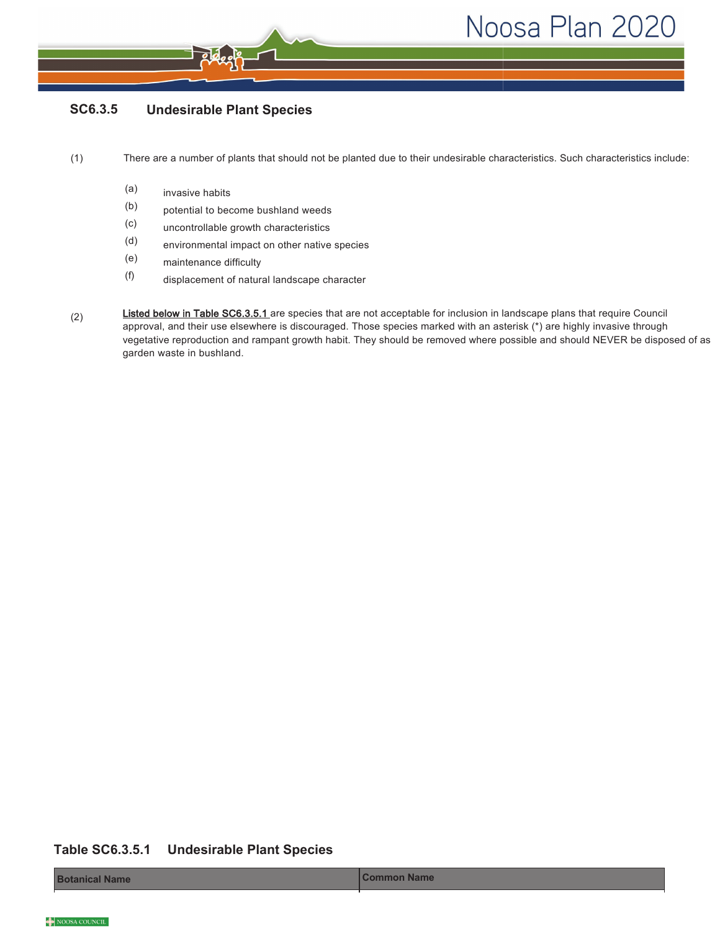#### SC6.3.5 **Undesirable Plant Species**

 $(1)$ There are a number of plants that should not be planted due to their undesirable characteristics. Such characteristics include:

- $(a)$ invasive habits
- $(b)$ potential to become bushland weeds
- $(c)$ uncontrollable growth characteristics
- $(d)$ environmental impact on other native species
- $(e)$ maintenance difficulty
- $(f)$ displacement of natural landscape character
- Listed below in Table SC6.3.5.1 are species that are not acceptable for inclusion in landscape plans that require Council  $(2)$ approval, and their use elsewhere is discouraged. Those species marked with an asterisk (\*) are highly invasive through vegetative reproduction and rampant growth habit. They should be removed where possible and should NEVER be disposed of as garden waste in bushland.

#### **Table SC6.3.5.1 Undesirable Plant Species**

**Botanical Name**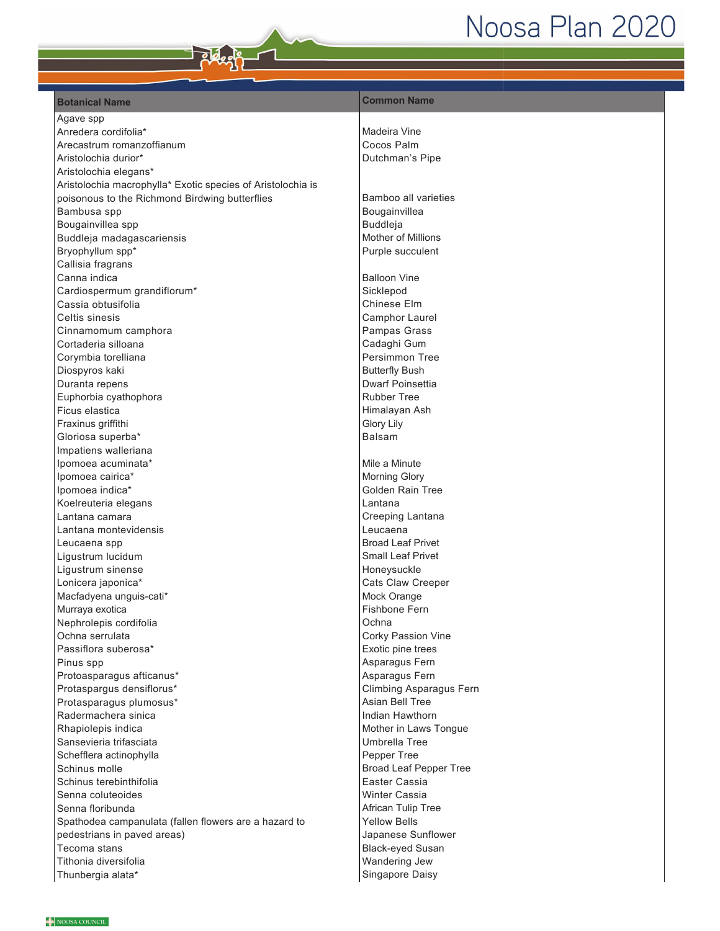### **Botanical Name Botanical Name Botanical Name Botanical Name**

Agave spp Anredera cordifolia\* Arecastrum romanzoffianum Aristolochia durior\* Aristolochia elegans\* Aristolochia macrophylla\* Exotic species of Aristolochia is poisonous to the Richmond Birdwing butterflies Bambusa spp Bougainvillea spp Buddleja madagascariensis Bryophyllum spp\* Callisia fragrans Canna indica Cardiospermum grandiflorum\* Cassia obtusifolia Celtis sinesis Cinnamomum camphora Cortaderia silloana Corymbia torelliana Diospyros kaki Duranta repens Euphorbia cyathophora Ficus elastica Fraxinus griffithi Gloriosa superba\* Impatiens walleriana Ipomoea acuminata\* Ipomoea cairica\* Ipomoea indica\* Koelreuteria elegans Lantana camara Lantana montevidensis Leucaena spp Ligustrum lucidum Ligustrum sinense Lonicera japonica\* Macfadyena unguis-cati\* Murraya exotica Nephrolepis cordifolia Ochna serrulata Passiflora suberosa\* Pinus spp Protoasparagus afticanus\* Protaspargus densiflorus\* Protasparagus plumosus\* Radermachera sinica Rhapiolepis indica Sansevieria trifasciata Schefflera actinophylla Schinus molle Schinus terebinthifolia Senna coluteoides Senna floribunda Spathodea campanulata (fallen flowers are a hazard to pedestrians in paved areas) Tecoma stans Tithonia diversifolia Thunbergia alata\*

## Madeira Vine Cocos Palm Dutchman's Pipe

Bamboo all varieties Bougainvillea Buddleja Mother of Millions Purple succulent

**Balloon Vine** Sicklepod Chinese Elm Camphor Laurel Pampas Grass Cadaghi Gum Persimmon Tree **Butterfly Bush** Dwarf Poinsettia Rubber Tree Himalavan Ash Glory Lily Balsam

Mile a Minute Morning Glory Golden Rain Tree Lantana Creeping Lantana Leucaena **Broad Leaf Privet Small Leaf Privet** Honeysuckle Cats Claw Creeper Mock Orange Fishbone Fern Ochna Corky Passion Vine Exotic pine trees Asparagus Fern Asparagus Fern Climbing Asparagus Fern Asian Bell Tree Indian Hawthorn Mother in Laws Tongue Umbrella Tree Pepper Tree Broad Leaf Pepper Tree Easter Cassia Winter Cassia African Tulip Tree Yellow Bells Japanese Sunflower Black-eyed Susan Wandering Jew Singapore Daisy

NOOSA COUNCIL